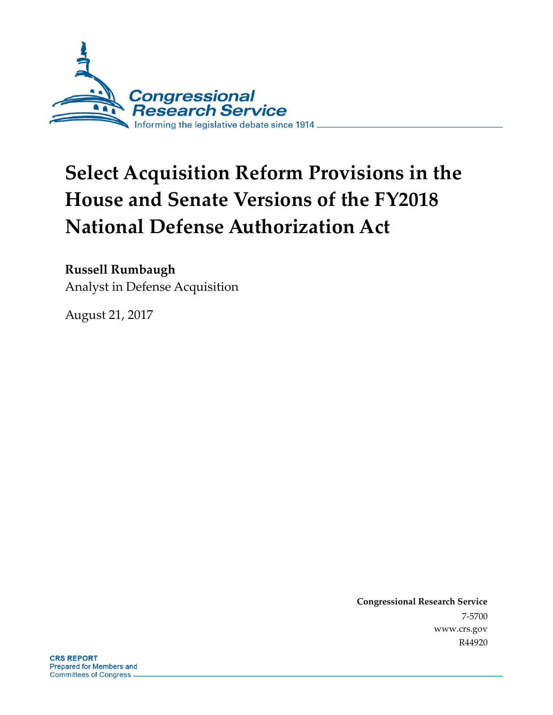

# **Select Acquisition Reform Provisions in the House and Senate Versions of the FY2018 National Defense Authorization Act**

### **Russell Rumbaugh**

Analyst in Defense Acquisition

August 21, 2017

**Congressional Research Service** 7-5700 www.crs.gov R44920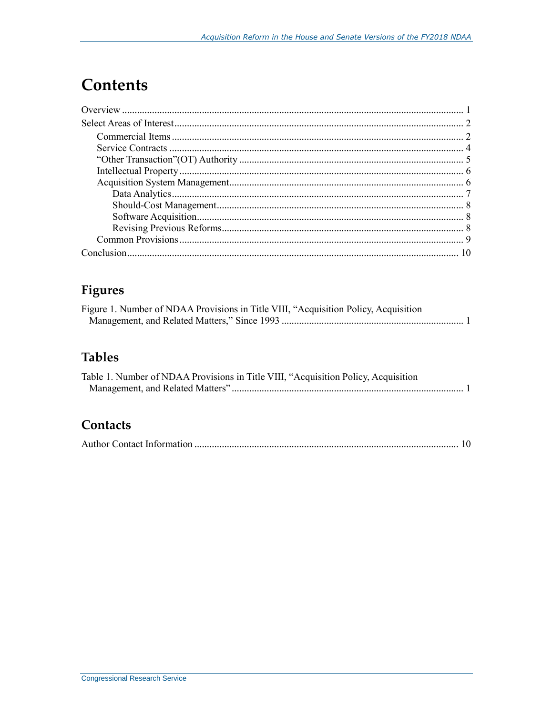# **Contents**

# Figures

| Figure 1. Number of NDAA Provisions in Title VIII, "Acquisition Policy, Acquisition |  |
|-------------------------------------------------------------------------------------|--|
|                                                                                     |  |

### **Tables**

| Table 1. Number of NDAA Provisions in Title VIII, "Acquisition Policy, Acquisition |  |
|------------------------------------------------------------------------------------|--|
|                                                                                    |  |

### Contacts

|--|--|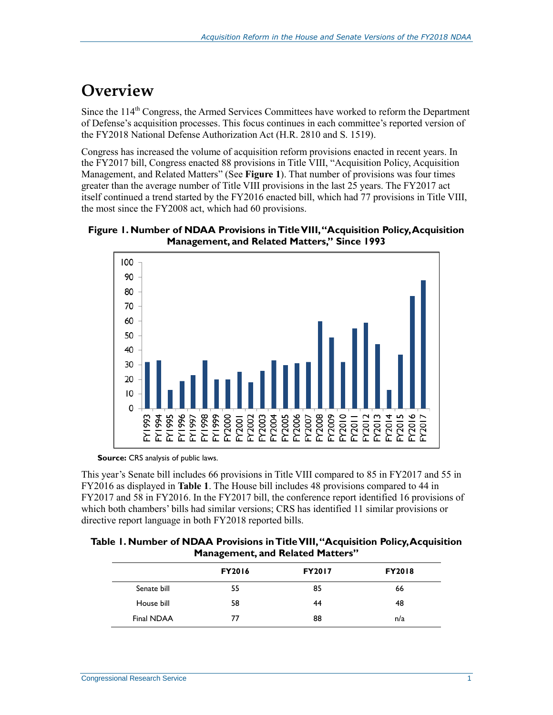# **Overview**

Since the 114<sup>th</sup> Congress, the Armed Services Committees have worked to reform the Department of Defense's acquisition processes. This focus continues in each committee's reported version of the FY2018 National Defense Authorization Act (H.R. 2810 and [S. 1519\)](http://www.congress.gov/cgi-lis/bdquery/z?d115:S.1519:).

Congress has increased the volume of acquisition reform provisions enacted in recent years. In the FY2017 bill, Congress enacted 88 provisions in Title VIII, "Acquisition Policy, Acquisition Management, and Related Matters" (See **[Figure 1](#page-2-0)**). That number of provisions was four times greater than the average number of Title VIII provisions in the last 25 years. The FY2017 act itself continued a trend started by the FY2016 enacted bill, which had 77 provisions in Title VIII, the most since the FY2008 act, which had 60 provisions.

<span id="page-2-0"></span>



**Source:** CRS analysis of public laws.

This year's Senate bill includes 66 provisions in Title VIII compared to 85 in FY2017 and 55 in FY2016 as displayed in **[Table 1](#page-2-1)**. The House bill includes 48 provisions compared to 44 in FY2017 and 58 in FY2016. In the FY2017 bill, the conference report identified 16 provisions of which both chambers' bills had similar versions; CRS has identified 11 similar provisions or directive report language in both FY2018 reported bills.

<span id="page-2-1"></span>

| Table 1. Number of NDAA Provisions in Title VIII, "Acquisition Policy, Acquisition |  |  |  |  |
|------------------------------------------------------------------------------------|--|--|--|--|
| <b>Management, and Related Matters"</b>                                            |  |  |  |  |

|             | _             |               |               |  |
|-------------|---------------|---------------|---------------|--|
|             | <b>FY2016</b> | <b>FY2017</b> | <b>FY2018</b> |  |
| Senate bill | 55            | 85            | 66            |  |
| House bill  | 58            | 44            | 48            |  |
| Final NDAA  | 77            | 88            | n/a           |  |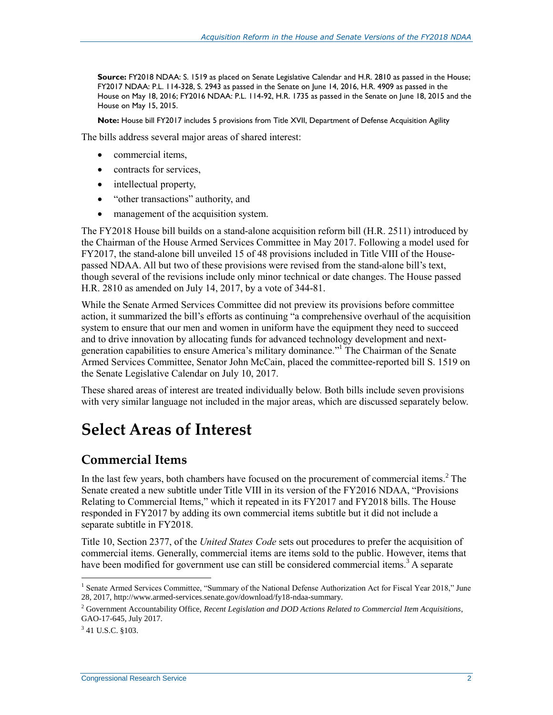**Source:** FY2018 NDAA: [S. 1519](http://www.congress.gov/cgi-lis/bdquery/z?d115:S.1519:) as placed on Senate Legislative Calendar and H.R. 2810 as passed in the House; FY2017 NDAA: [P.L. 114-328,](http://www.congress.gov/cgi-lis/bdquery/R?d114:FLD002:@1(114+328)) S. 2943 as passed in the Senate on June 14, 2016[, H.R. 4909](http://www.congress.gov/cgi-lis/bdquery/z?d114:H.R.4909:) as passed in the House on May 18, 2016; FY2016 NDAA: P.L. 114-92, [H.R. 1735](http://www.congress.gov/cgi-lis/bdquery/z?d114:H.R.1735:) as passed in the Senate on June 18, 2015 and the House on May 15, 2015.

**Note:** House bill FY2017 includes 5 provisions from Title XVII, Department of Defense Acquisition Agility

The bills address several major areas of shared interest:

- commercial items,
- contracts for services,
- intellectual property,
- "other transactions" authority, and
- management of the acquisition system.

The FY2018 House bill builds on a stand-alone acquisition reform bill (H.R. 2511) introduced by the Chairman of the House Armed Services Committee in May 2017. Following a model used for FY2017, the stand-alone bill unveiled 15 of 48 provisions included in Title VIII of the Housepassed NDAA. All but two of these provisions were revised from the stand-alone bill's text, though several of the revisions include only minor technical or date changes. The House passed [H.R. 2810](http://www.congress.gov/cgi-lis/bdquery/z?d115:H.R.2810:) as amended on July 14, 2017, by a vote of 344-81.

While the Senate Armed Services Committee did not preview its provisions before committee action, it summarized the bill's efforts as continuing "a comprehensive overhaul of the acquisition system to ensure that our men and women in uniform have the equipment they need to succeed and to drive innovation by allocating funds for advanced technology development and nextgeneration capabilities to ensure America's military dominance."<sup>1</sup> The Chairman of the Senate Armed Services Committee, Senator John McCain, placed the committee-reported bill S. 1519 on the Senate Legislative Calendar on July 10, 2017.

These shared areas of interest are treated individually below. Both bills include seven provisions with very similar language not included in the major areas, which are discussed separately below.

### **Select Areas of Interest**

#### **Commercial Items**

In the last few years, both chambers have focused on the procurement of commercial items.<sup>2</sup> The Senate created a new subtitle under Title VIII in its version of the FY2016 NDAA, "Provisions Relating to Commercial Items," which it repeated in its FY2017 and FY2018 bills. The House responded in FY2017 by adding its own commercial items subtitle but it did not include a separate subtitle in FY2018.

Title 10, Section 2377, of the *United States Code* sets out procedures to prefer the acquisition of commercial items. Generally, commercial items are items sold to the public. However, items that have been modified for government use can still be considered commercial items.<sup>3</sup> A separate

 $3$  41 U.S.C. §103.

<sup>&</sup>lt;sup>1</sup> Senate Armed Services Committee, "Summary of the National Defense Authorization Act for Fiscal Year 2018," June 28, 2017, http://www.armed-services.senate.gov/download/fy18-ndaa-summary.

<sup>2</sup> Government Accountability Office, *Recent Legislation and DOD Actions Related to Commercial Item Acquisitions*, GAO-17-645, July 2017.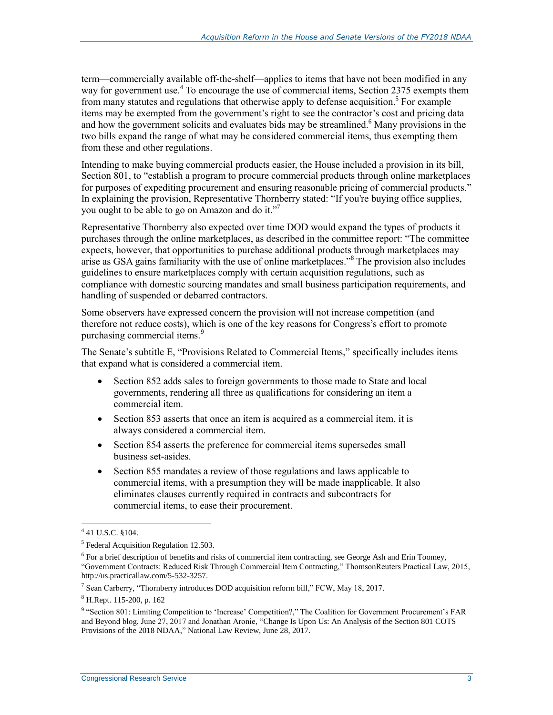term—commercially available off-the-shelf—applies to items that have not been modified in any way for government use.<sup>4</sup> To encourage the use of commercial items, Section 2375 exempts them from many statutes and regulations that otherwise apply to defense acquisition.<sup>5</sup> For example items may be exempted from the government's right to see the contractor's cost and pricing data and how the government solicits and evaluates bids may be streamlined. <sup>6</sup> Many provisions in the two bills expand the range of what may be considered commercial items, thus exempting them from these and other regulations.

Intending to make buying commercial products easier, the House included a provision in its bill, Section 801, to "establish a program to procure commercial products through online marketplaces for purposes of expediting procurement and ensuring reasonable pricing of commercial products." In explaining the provision, Representative Thornberry stated: "If you're buying office supplies, you ought to be able to go on Amazon and do it."<sup>7</sup>

Representative Thornberry also expected over time DOD would expand the types of products it purchases through the online marketplaces, as described in the committee report: "The committee expects, however, that opportunities to purchase additional products through marketplaces may arise as GSA gains familiarity with the use of online marketplaces."<sup>8</sup> The provision also includes guidelines to ensure marketplaces comply with certain acquisition regulations, such as compliance with domestic sourcing mandates and small business participation requirements, and handling of suspended or debarred contractors.

Some observers have expressed concern the provision will not increase competition (and therefore not reduce costs), which is one of the key reasons for Congress's effort to promote purchasing commercial items.<sup>9</sup>

The Senate's subtitle E, "Provisions Related to Commercial Items," specifically includes items that expand what is considered a commercial item.

- Section 852 adds sales to foreign governments to those made to State and local governments, rendering all three as qualifications for considering an item a commercial item.
- Section 853 asserts that once an item is acquired as a commercial item, it is always considered a commercial item.
- Section 854 asserts the preference for commercial items supersedes small business set-asides.
- Section 855 mandates a review of those regulations and laws applicable to commercial items, with a presumption they will be made inapplicable. It also eliminates clauses currently required in contracts and subcontracts for commercial items, to ease their procurement.

 $\overline{a}$  $441$  U.S.C. §104.

<sup>&</sup>lt;sup>5</sup> Federal Acquisition Regulation 12.503.

<sup>&</sup>lt;sup>6</sup> For a brief description of benefits and risks of commercial item contracting, see George Ash and Erin Toomey, "Government Contracts: Reduced Risk Through Commercial Item Contracting," ThomsonReuters Practical Law, 2015, http://us.practicallaw.com/5-532-3257.

<sup>&</sup>lt;sup>7</sup> Sean Carberry, "Thornberry introduces DOD acquisition reform bill," FCW, May 18, 2017.

<sup>8</sup> H.Rept. 115-200, p. 162

<sup>&</sup>lt;sup>9</sup> "Section 801: Limiting Competition to 'Increase' Competition?," The Coalition for Government Procurement's FAR and Beyond blog, June 27, 2017 and Jonathan Aronie, "Change Is Upon Us: An Analysis of the Section 801 COTS Provisions of the 2018 NDAA," National Law Review, June 28, 2017.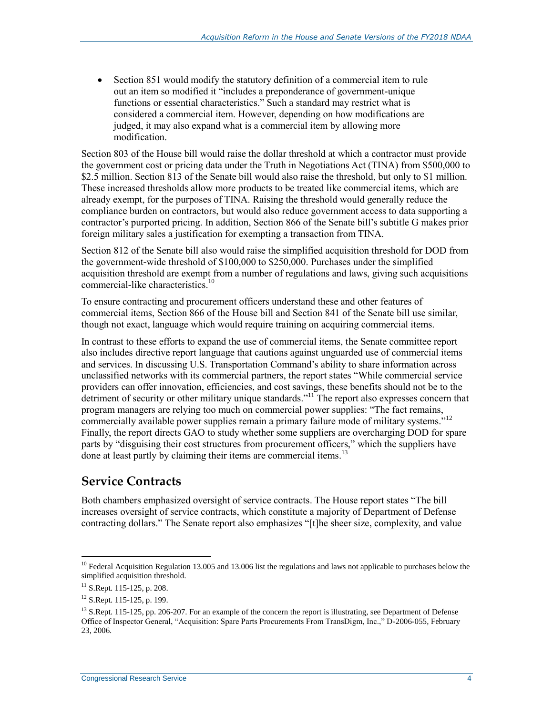Section 851 would modify the statutory definition of a commercial item to rule out an item so modified it "includes a preponderance of government-unique functions or essential characteristics." Such a standard may restrict what is considered a commercial item. However, depending on how modifications are judged, it may also expand what is a commercial item by allowing more modification.

Section 803 of the House bill would raise the dollar threshold at which a contractor must provide the government cost or pricing data under the Truth in Negotiations Act (TINA) from \$500,000 to \$2.5 million. Section 813 of the Senate bill would also raise the threshold, but only to \$1 million. These increased thresholds allow more products to be treated like commercial items, which are already exempt, for the purposes of TINA. Raising the threshold would generally reduce the compliance burden on contractors, but would also reduce government access to data supporting a contractor's purported pricing. In addition, Section 866 of the Senate bill's subtitle G makes prior foreign military sales a justification for exempting a transaction from TINA.

Section 812 of the Senate bill also would raise the simplified acquisition threshold for DOD from the government-wide threshold of \$100,000 to \$250,000. Purchases under the simplified acquisition threshold are exempt from a number of regulations and laws, giving such acquisitions commercial-like characteristics. 10

To ensure contracting and procurement officers understand these and other features of commercial items, Section 866 of the House bill and Section 841 of the Senate bill use similar, though not exact, language which would require training on acquiring commercial items.

In contrast to these efforts to expand the use of commercial items, the Senate committee report also includes directive report language that cautions against unguarded use of commercial items and services. In discussing U.S. Transportation Command's ability to share information across unclassified networks with its commercial partners, the report states "While commercial service providers can offer innovation, efficiencies, and cost savings, these benefits should not be to the detriment of security or other military unique standards."<sup>11</sup> The report also expresses concern that program managers are relying too much on commercial power supplies: "The fact remains, commercially available power supplies remain a primary failure mode of military systems."<sup>12</sup> Finally, the report directs GAO to study whether some suppliers are overcharging DOD for spare parts by "disguising their cost structures from procurement officers," which the suppliers have done at least partly by claiming their items are commercial items.<sup>13</sup>

### **Service Contracts**

Both chambers emphasized oversight of service contracts. The House report states "The bill increases oversight of service contracts, which constitute a majority of Department of Defense contracting dollars." The Senate report also emphasizes "[t]he sheer size, complexity, and value

 $10$  Federal Acquisition Regulation 13.005 and 13.006 list the regulations and laws not applicable to purchases below the simplified acquisition threshold.

 $11$  S.Rept. 115-125, p. 208.

<sup>&</sup>lt;sup>12</sup> S.Rept. 115-125, p. 199.

 $13$  S.Rept. 115-125, pp. 206-207. For an example of the concern the report is illustrating, see Department of Defense Office of Inspector General, "Acquisition: Spare Parts Procurements From TransDigm, Inc.," D-2006-055, February 23, 2006.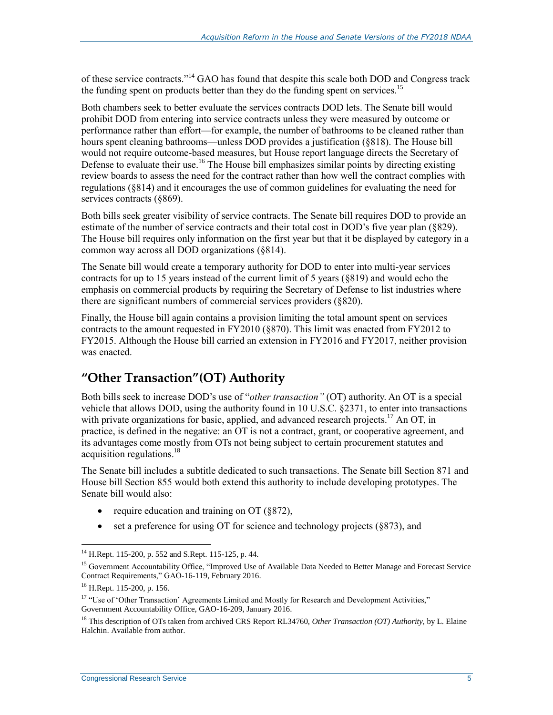of these service contracts."<sup>14</sup> GAO has found that despite this scale both DOD and Congress track the funding spent on products better than they do the funding spent on services.<sup>15</sup>

Both chambers seek to better evaluate the services contracts DOD lets. The Senate bill would prohibit DOD from entering into service contracts unless they were measured by outcome or performance rather than effort—for example, the number of bathrooms to be cleaned rather than hours spent cleaning bathrooms—unless DOD provides a justification (§818). The House bill would not require outcome-based measures, but House report language directs the Secretary of Defense to evaluate their use.<sup>16</sup> The House bill emphasizes similar points by directing existing review boards to assess the need for the contract rather than how well the contract complies with regulations (§814) and it encourages the use of common guidelines for evaluating the need for services contracts (§869).

Both bills seek greater visibility of service contracts. The Senate bill requires DOD to provide an estimate of the number of service contracts and their total cost in DOD's five year plan (§829). The House bill requires only information on the first year but that it be displayed by category in a common way across all DOD organizations (§814).

The Senate bill would create a temporary authority for DOD to enter into multi-year services contracts for up to 15 years instead of the current limit of 5 years (§819) and would echo the emphasis on commercial products by requiring the Secretary of Defense to list industries where there are significant numbers of commercial services providers (§820).

Finally, the House bill again contains a provision limiting the total amount spent on services contracts to the amount requested in FY2010 (§870). This limit was enacted from FY2012 to FY2015. Although the House bill carried an extension in FY2016 and FY2017, neither provision was enacted.

#### **"Other Transaction"(OT) Authority**

Both bills seek to increase DOD's use of "*other transaction"* (OT) authority. An OT is a special vehicle that allows DOD, using the authority found in 10 U.S.C. §2371, to enter into transactions with private organizations for basic, applied, and advanced research projects.<sup>17</sup> An OT, in practice, is defined in the negative: an OT is not a contract, grant, or cooperative agreement, and its advantages come mostly from OTs not being subject to certain procurement statutes and acquisition regulations. 18

The Senate bill includes a subtitle dedicated to such transactions. The Senate bill Section 871 and House bill Section 855 would both extend this authority to include developing prototypes. The Senate bill would also:

- require education and training on OT ( $§$ 872),
- set a preference for using OT for science and technology projects (§873), and

 $14$  H.Rept. 115-200, p. 552 and S.Rept. 115-125, p. 44.

<sup>&</sup>lt;sup>15</sup> Government Accountability Office, "Improved Use of Available Data Needed to Better Manage and Forecast Service Contract Requirements," GAO-16-119, February 2016.

<sup>16</sup> H.Rept. 115-200, p. 156.

<sup>&</sup>lt;sup>17</sup> "Use of 'Other Transaction' Agreements Limited and Mostly for Research and Development Activities," Government Accountability Office, GAO-16-209, January 2016.

<sup>18</sup> This description of OTs taken from archived CRS Report RL34760, *Other Transaction (OT) Authority*, by L. Elaine Halchin. Available from author.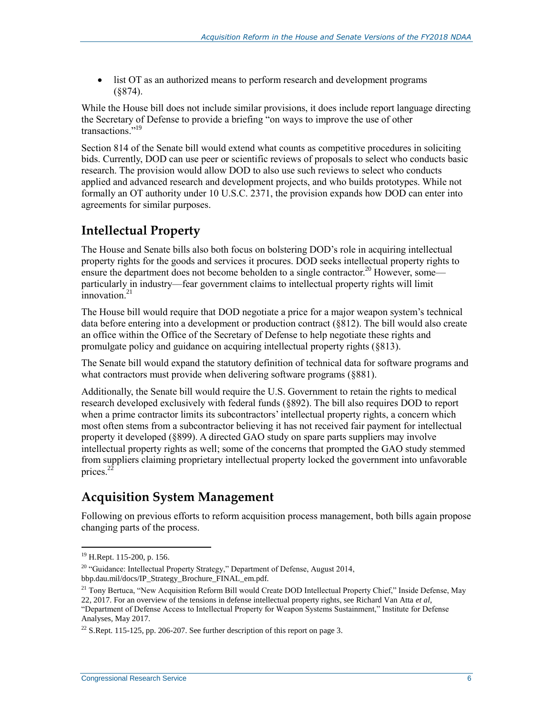list OT as an authorized means to perform research and development programs (§874).

While the House bill does not include similar provisions, it does include report language directing the Secretary of Defense to provide a briefing "on ways to improve the use of other transactions."<sup>19</sup>

Section 814 of the Senate bill would extend what counts as competitive procedures in soliciting bids. Currently, DOD can use peer or scientific reviews of proposals to select who conducts basic research. The provision would allow DOD to also use such reviews to select who conducts applied and advanced research and development projects, and who builds prototypes. While not formally an OT authority under 10 U.S.C. 2371, the provision expands how DOD can enter into agreements for similar purposes.

#### **Intellectual Property**

The House and Senate bills also both focus on bolstering DOD's role in acquiring intellectual property rights for the goods and services it procures. DOD seeks intellectual property rights to ensure the department does not become beholden to a single contractor.<sup>20</sup> However, some particularly in industry—fear government claims to intellectual property rights will limit  $\frac{1}{2}$ innovation.<sup>21</sup>

The House bill would require that DOD negotiate a price for a major weapon system's technical data before entering into a development or production contract (§812). The bill would also create an office within the Office of the Secretary of Defense to help negotiate these rights and promulgate policy and guidance on acquiring intellectual property rights (§813).

The Senate bill would expand the statutory definition of technical data for software programs and what contractors must provide when delivering software programs (§881).

Additionally, the Senate bill would require the U.S. Government to retain the rights to medical research developed exclusively with federal funds (§892). The bill also requires DOD to report when a prime contractor limits its subcontractors' intellectual property rights, a concern which most often stems from a subcontractor believing it has not received fair payment for intellectual property it developed (§899). A directed GAO study on spare parts suppliers may involve intellectual property rights as well; some of the concerns that prompted the GAO study stemmed from suppliers claiming proprietary intellectual property locked the government into unfavorable prices.<sup>22</sup>

### **Acquisition System Management**

Following on previous efforts to reform acquisition process management, both bills again propose changing parts of the process.

<sup>19</sup> H.Rept. 115-200, p. 156.

<sup>&</sup>lt;sup>20</sup> "Guidance: Intellectual Property Strategy," Department of Defense, August 2014, bbp.dau.mil/docs/IP\_Strategy\_Brochure\_FINAL\_em.pdf.

<sup>&</sup>lt;sup>21</sup> Tony Bertuca, "New Acquisition Reform Bill would Create DOD Intellectual Property Chief," Inside Defense, May 22, 2017. For an overview of the tensions in defense intellectual property rights, see Richard Van Atta *et al*, "Department of Defense Access to Intellectual Property for Weapon Systems Sustainment," Institute for Defense Analyses, May 2017.

<sup>&</sup>lt;sup>22</sup> S.Rept. 115-125, pp. 206-207. See further description of this report on page 3.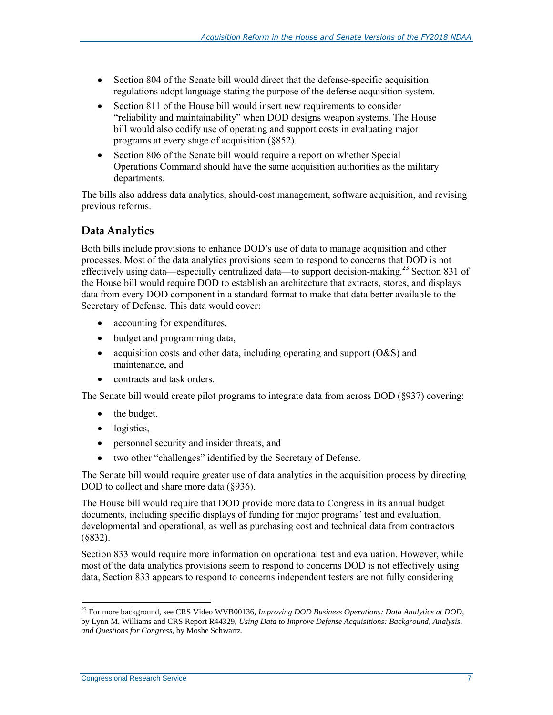- Section 804 of the Senate bill would direct that the defense-specific acquisition regulations adopt language stating the purpose of the defense acquisition system.
- Section 811 of the House bill would insert new requirements to consider "reliability and maintainability" when DOD designs weapon systems. The House bill would also codify use of operating and support costs in evaluating major programs at every stage of acquisition (§852).
- Section 806 of the Senate bill would require a report on whether Special Operations Command should have the same acquisition authorities as the military departments.

The bills also address data analytics, should-cost management, software acquisition, and revising previous reforms.

#### **Data Analytics**

Both bills include provisions to enhance DOD's use of data to manage acquisition and other processes. Most of the data analytics provisions seem to respond to concerns that DOD is not effectively using data—especially centralized data—to support decision-making.<sup>23</sup> Section 831 of the House bill would require DOD to establish an architecture that extracts, stores, and displays data from every DOD component in a standard format to make that data better available to the Secretary of Defense. This data would cover:

- accounting for expenditures,
- budget and programming data,
- acquisition costs and other data, including operating and support  $(O&S)$  and maintenance, and
- contracts and task orders.

The Senate bill would create pilot programs to integrate data from across DOD (§937) covering:

- $\bullet$  the budget,
- logistics,
- personnel security and insider threats, and
- two other "challenges" identified by the Secretary of Defense.

The Senate bill would require greater use of data analytics in the acquisition process by directing DOD to collect and share more data (§936).

The House bill would require that DOD provide more data to Congress in its annual budget documents, including specific displays of funding for major programs' test and evaluation, developmental and operational, as well as purchasing cost and technical data from contractors (§832).

Section 833 would require more information on operational test and evaluation. However, while most of the data analytics provisions seem to respond to concerns DOD is not effectively using data, Section 833 appears to respond to concerns independent testers are not fully considering

<sup>&</sup>lt;sup>23</sup> For more background, see CRS Video WVB00136, *Improving DOD Business Operations: Data Analytics at DOD*, by Lynn M. Williams and CRS Report R44329, *Using Data to Improve Defense Acquisitions: Background, Analysis, and Questions for Congress*, by Moshe Schwartz.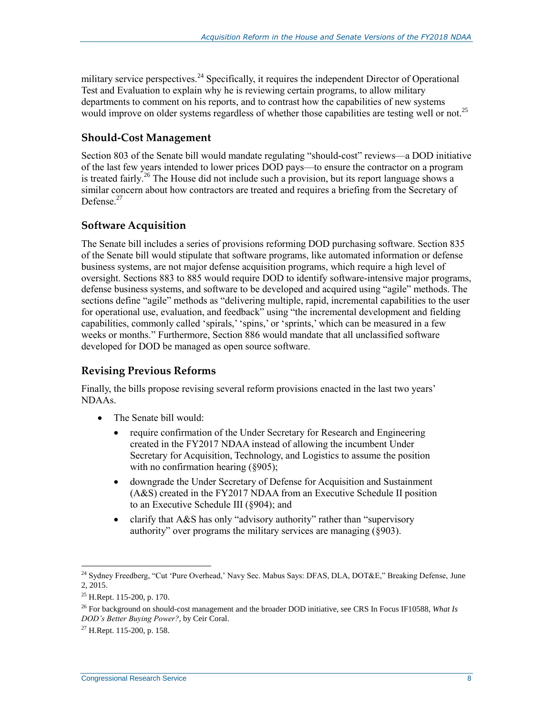military service perspectives.<sup>24</sup> Specifically, it requires the independent Director of Operational Test and Evaluation to explain why he is reviewing certain programs, to allow military departments to comment on his reports, and to contrast how the capabilities of new systems would improve on older systems regardless of whether those capabilities are testing well or not.<sup>25</sup>

#### **Should-Cost Management**

Section 803 of the Senate bill would mandate regulating "should-cost" reviews—a DOD initiative of the last few years intended to lower prices DOD pays—to ensure the contractor on a program is treated fairly.<sup>26</sup> The House did not include such a provision, but its report language shows a similar concern about how contractors are treated and requires a briefing from the Secretary of Defense<sup>27</sup>

#### **Software Acquisition**

The Senate bill includes a series of provisions reforming DOD purchasing software. Section 835 of the Senate bill would stipulate that software programs, like automated information or defense business systems, are not major defense acquisition programs, which require a high level of oversight. Sections 883 to 885 would require DOD to identify software-intensive major programs, defense business systems, and software to be developed and acquired using "agile" methods. The sections define "agile" methods as "delivering multiple, rapid, incremental capabilities to the user for operational use, evaluation, and feedback" using "the incremental development and fielding capabilities, commonly called 'spirals,' 'spins,' or 'sprints,' which can be measured in a few weeks or months." Furthermore, Section 886 would mandate that all unclassified software developed for DOD be managed as open source software.

#### **Revising Previous Reforms**

Finally, the bills propose revising several reform provisions enacted in the last two years' NDAAs.

- The Senate bill would:
	- require confirmation of the Under Secretary for Research and Engineering created in the FY2017 NDAA instead of allowing the incumbent Under Secretary for Acquisition, Technology, and Logistics to assume the position with no confirmation hearing (§905);
	- downgrade the Under Secretary of Defense for Acquisition and Sustainment (A&S) created in the FY2017 NDAA from an Executive Schedule II position to an Executive Schedule III (§904); and
	- clarify that A&S has only "advisory authority" rather than "supervisory authority" over programs the military services are managing (§903).

<sup>&</sup>lt;sup>24</sup> Sydney Freedberg, "Cut 'Pure Overhead,' Navy Sec. Mabus Says: DFAS, DLA, DOT&E," Breaking Defense, June 2, 2015.

<sup>25</sup> H.Rept. 115-200, p. 170.

<sup>26</sup> For background on should-cost management and the broader DOD initiative, see CRS In Focus IF10588, *What Is DOD's Better Buying Power?*, by Ceir Coral.

 $27$  H.Rept. 115-200, p. 158.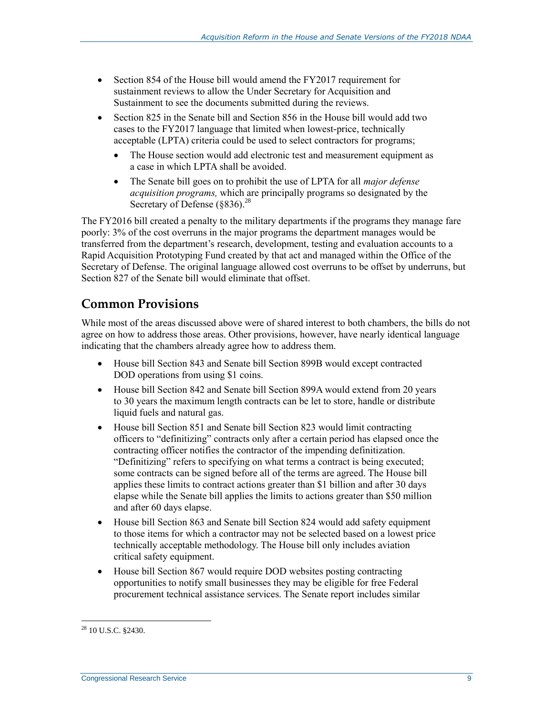- Section 854 of the House bill would amend the FY2017 requirement for sustainment reviews to allow the Under Secretary for Acquisition and Sustainment to see the documents submitted during the reviews.
- Section 825 in the Senate bill and Section 856 in the House bill would add two cases to the FY2017 language that limited when lowest-price, technically acceptable (LPTA) criteria could be used to select contractors for programs;
	- The House section would add electronic test and measurement equipment as a case in which LPTA shall be avoided.
	- The Senate bill goes on to prohibit the use of LPTA for all *major defense acquisition programs,* which are principally programs so designated by the Secretary of Defense  $(8836)^{28}$

The FY2016 bill created a penalty to the military departments if the programs they manage fare poorly: 3% of the cost overruns in the major programs the department manages would be transferred from the department's research, development, testing and evaluation accounts to a Rapid Acquisition Prototyping Fund created by that act and managed within the Office of the Secretary of Defense. The original language allowed cost overruns to be offset by underruns, but Section 827 of the Senate bill would eliminate that offset.

#### **Common Provisions**

While most of the areas discussed above were of shared interest to both chambers, the bills do not agree on how to address those areas. Other provisions, however, have nearly identical language indicating that the chambers already agree how to address them.

- House bill Section 843 and Senate bill Section 899B would except contracted DOD operations from using \$1 coins.
- House bill Section 842 and Senate bill Section 899A would extend from 20 years to 30 years the maximum length contracts can be let to store, handle or distribute liquid fuels and natural gas.
- House bill Section 851 and Senate bill Section 823 would limit contracting officers to "definitizing" contracts only after a certain period has elapsed once the contracting officer notifies the contractor of the impending definitization. "Definitizing" refers to specifying on what terms a contract is being executed; some contracts can be signed before all of the terms are agreed. The House bill applies these limits to contract actions greater than \$1 billion and after 30 days elapse while the Senate bill applies the limits to actions greater than \$50 million and after 60 days elapse.
- House bill Section 863 and Senate bill Section 824 would add safety equipment to those items for which a contractor may not be selected based on a lowest price technically acceptable methodology. The House bill only includes aviation critical safety equipment.
- House bill Section 867 would require DOD websites posting contracting opportunities to notify small businesses they may be eligible for free Federal procurement technical assistance services. The Senate report includes similar

 $\overline{a}$ <sup>28</sup> 10 U.S.C. §2430.